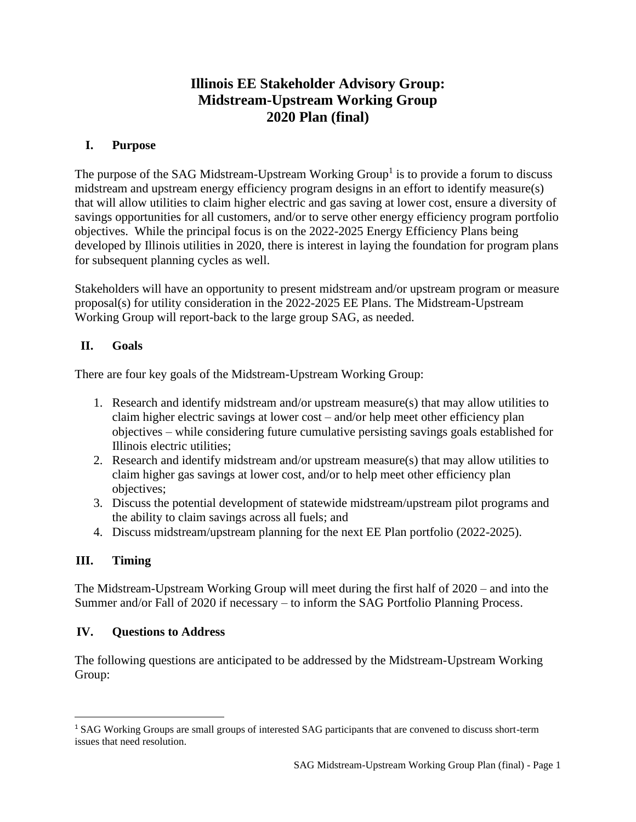# **Illinois EE Stakeholder Advisory Group: Midstream-Upstream Working Group 2020 Plan (final)**

### **I. Purpose**

The purpose of the SAG Midstream-Upstream Working Group<sup>1</sup> is to provide a forum to discuss midstream and upstream energy efficiency program designs in an effort to identify measure(s) that will allow utilities to claim higher electric and gas saving at lower cost, ensure a diversity of savings opportunities for all customers, and/or to serve other energy efficiency program portfolio objectives. While the principal focus is on the 2022-2025 Energy Efficiency Plans being developed by Illinois utilities in 2020, there is interest in laying the foundation for program plans for subsequent planning cycles as well.

Stakeholders will have an opportunity to present midstream and/or upstream program or measure proposal(s) for utility consideration in the 2022-2025 EE Plans. The Midstream-Upstream Working Group will report-back to the large group SAG, as needed.

### **II. Goals**

There are four key goals of the Midstream-Upstream Working Group:

- 1. Research and identify midstream and/or upstream measure(s) that may allow utilities to claim higher electric savings at lower cost – and/or help meet other efficiency plan objectives – while considering future cumulative persisting savings goals established for Illinois electric utilities;
- 2. Research and identify midstream and/or upstream measure(s) that may allow utilities to claim higher gas savings at lower cost, and/or to help meet other efficiency plan objectives;
- 3. Discuss the potential development of statewide midstream/upstream pilot programs and the ability to claim savings across all fuels; and
- 4. Discuss midstream/upstream planning for the next EE Plan portfolio (2022-2025).

## **III. Timing**

The Midstream-Upstream Working Group will meet during the first half of 2020 – and into the Summer and/or Fall of 2020 if necessary – to inform the SAG Portfolio Planning Process.

#### **IV. Questions to Address**

The following questions are anticipated to be addressed by the Midstream-Upstream Working Group:

<sup>1</sup> SAG Working Groups are small groups of interested SAG participants that are convened to discuss short-term issues that need resolution.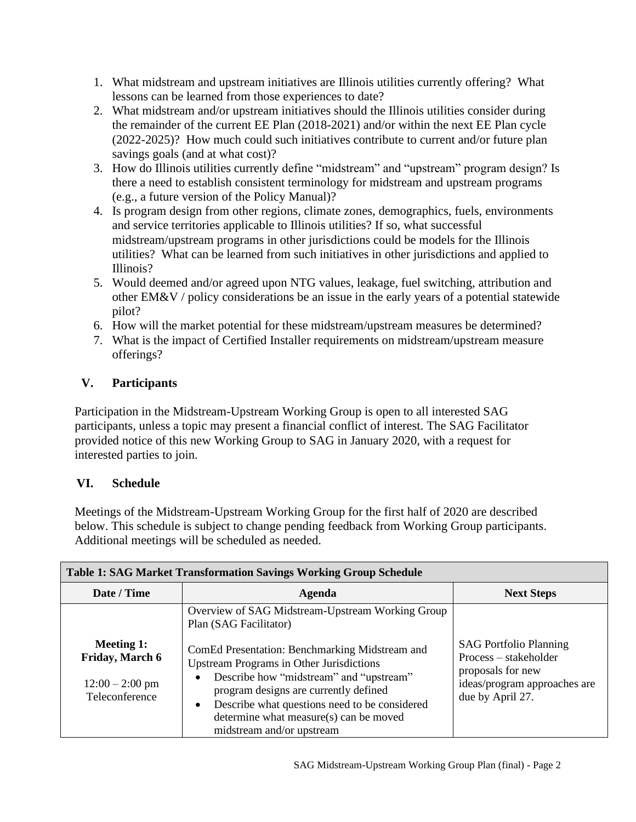- 1. What midstream and upstream initiatives are Illinois utilities currently offering? What lessons can be learned from those experiences to date?
- 2. What midstream and/or upstream initiatives should the Illinois utilities consider during the remainder of the current EE Plan (2018-2021) and/or within the next EE Plan cycle (2022-2025)? How much could such initiatives contribute to current and/or future plan savings goals (and at what cost)?
- 3. How do Illinois utilities currently define "midstream" and "upstream" program design? Is there a need to establish consistent terminology for midstream and upstream programs (e.g., a future version of the Policy Manual)?
- 4. Is program design from other regions, climate zones, demographics, fuels, environments and service territories applicable to Illinois utilities? If so, what successful midstream/upstream programs in other jurisdictions could be models for the Illinois utilities? What can be learned from such initiatives in other jurisdictions and applied to Illinois?
- 5. Would deemed and/or agreed upon NTG values, leakage, fuel switching, attribution and other EM&V / policy considerations be an issue in the early years of a potential statewide pilot?
- 6. How will the market potential for these midstream/upstream measures be determined?
- 7. What is the impact of Certified Installer requirements on midstream/upstream measure offerings?

## **V. Participants**

Participation in the Midstream-Upstream Working Group is open to all interested SAG participants, unless a topic may present a financial conflict of interest. The SAG Facilitator provided notice of this new Working Group to SAG in January 2020, with a request for interested parties to join.

## **VI. Schedule**

Meetings of the Midstream-Upstream Working Group for the first half of 2020 are described below. This schedule is subject to change pending feedback from Working Group participants. Additional meetings will be scheduled as needed.

| <b>Table 1: SAG Market Transformation Savings Working Group Schedule</b>           |                                                                                                                                                                                                                                                                                                                            |                                                                                                                                 |  |
|------------------------------------------------------------------------------------|----------------------------------------------------------------------------------------------------------------------------------------------------------------------------------------------------------------------------------------------------------------------------------------------------------------------------|---------------------------------------------------------------------------------------------------------------------------------|--|
| Date / Time                                                                        | Agenda                                                                                                                                                                                                                                                                                                                     | <b>Next Steps</b>                                                                                                               |  |
|                                                                                    | Overview of SAG Midstream-Upstream Working Group<br>Plan (SAG Facilitator)                                                                                                                                                                                                                                                 |                                                                                                                                 |  |
| <b>Meeting 1:</b><br><b>Friday, March 6</b><br>$12:00 - 2:00$ pm<br>Teleconference | ComEd Presentation: Benchmarking Midstream and<br><b>Upstream Programs in Other Jurisdictions</b><br>Describe how "midstream" and "upstream"<br>program designs are currently defined<br>Describe what questions need to be considered<br>$\bullet$<br>determine what measure(s) can be moved<br>midstream and/or upstream | <b>SAG Portfolio Planning</b><br>Process - stakeholder<br>proposals for new<br>ideas/program approaches are<br>due by April 27. |  |